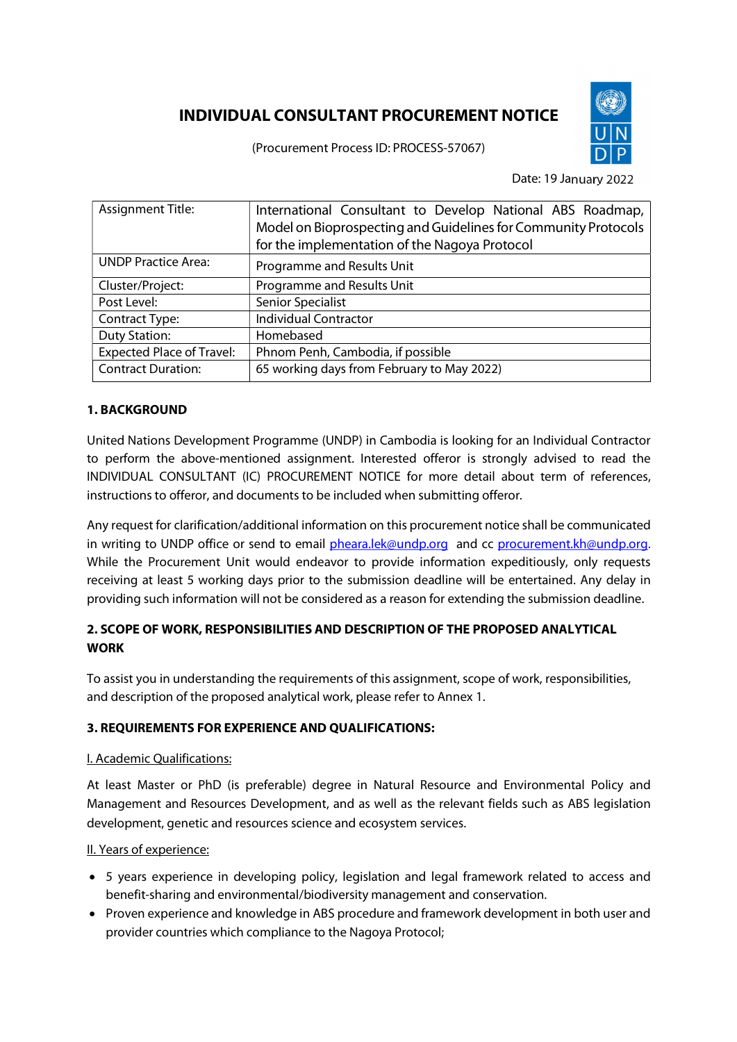# INDIVIDUAL CONSULTANT PROCUREMENT NOTICE

(Procurement Process ID: PROCESS-57067)



Date: 19 January 2022

| <b>Assignment Title:</b>         | International Consultant to Develop National ABS Roadmap,      |
|----------------------------------|----------------------------------------------------------------|
|                                  | Model on Bioprospecting and Guidelines for Community Protocols |
|                                  | for the implementation of the Nagoya Protocol                  |
| <b>UNDP Practice Area:</b>       | Programme and Results Unit                                     |
| Cluster/Project:                 | Programme and Results Unit                                     |
| Post Level:                      | Senior Specialist                                              |
| Contract Type:                   | <b>Individual Contractor</b>                                   |
| <b>Duty Station:</b>             | Homebased                                                      |
| <b>Expected Place of Travel:</b> | Phnom Penh, Cambodia, if possible                              |
| <b>Contract Duration:</b>        | 65 working days from February to May 2022)                     |

## 1. BACKGROUND

United Nations Development Programme (UNDP) in Cambodia is looking for an Individual Contractor to perform the above-mentioned assignment. Interested offeror is strongly advised to read the INDIVIDUAL CONSULTANT (IC) PROCUREMENT NOTICE for more detail about term of references, instructions to offeror, and documents to be included when submitting offeror.

Any request for clarification/additional information on this procurement notice shall be communicated in writing to UNDP office or send to email pheara.lek@undp.org and cc procurement.kh@undp.org. While the Procurement Unit would endeavor to provide information expeditiously, only requests receiving at least 5 working days prior to the submission deadline will be entertained. Any delay in providing such information will not be considered as a reason for extending the submission deadline.

# 2. SCOPE OF WORK, RESPONSIBILITIES AND DESCRIPTION OF THE PROPOSED ANALYTICAL WORK

To assist you in understanding the requirements of this assignment, scope of work, responsibilities, and description of the proposed analytical work, please refer to Annex 1.

#### 3. REQUIREMENTS FOR EXPERIENCE AND QUALIFICATIONS:

#### I. Academic Qualifications:

At least Master or PhD (is preferable) degree in Natural Resource and Environmental Policy and Management and Resources Development, and as well as the relevant fields such as ABS legislation development, genetic and resources science and ecosystem services.

#### II. Years of experience:

- 5 years experience in developing policy, legislation and legal framework related to access and benefit-sharing and environmental/biodiversity management and conservation.
- Proven experience and knowledge in ABS procedure and framework development in both user and provider countries which compliance to the Nagoya Protocol;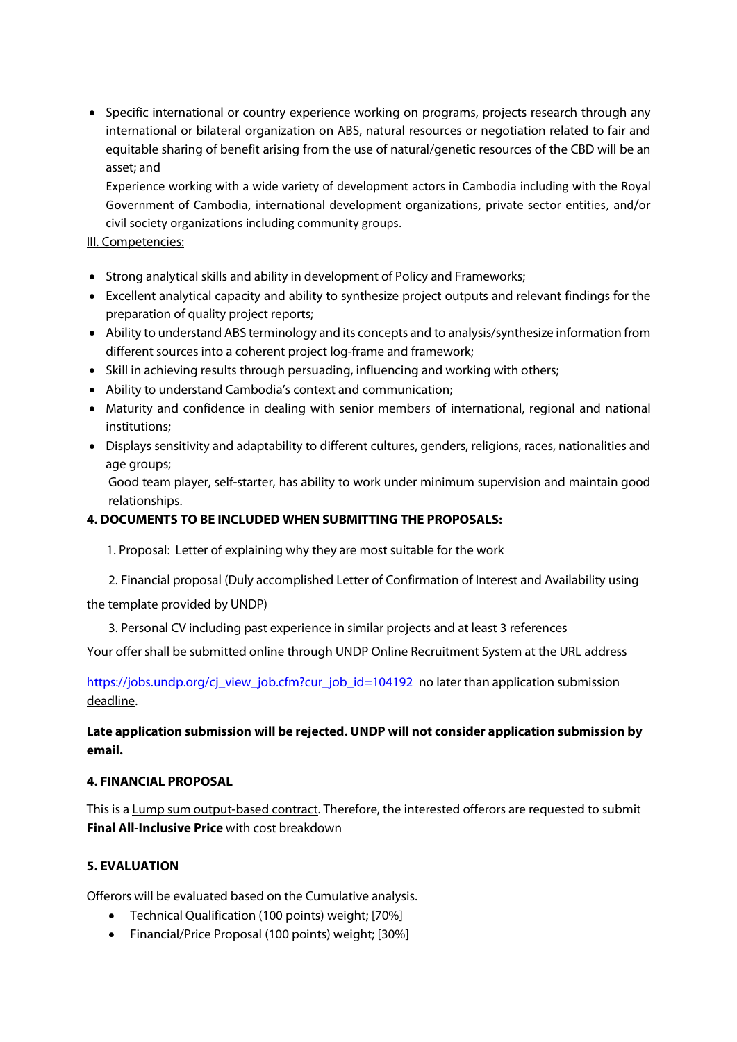• Specific international or country experience working on programs, projects research through any international or bilateral organization on ABS, natural resources or negotiation related to fair and equitable sharing of benefit arising from the use of natural/genetic resources of the CBD will be an asset; and

Experience working with a wide variety of development actors in Cambodia including with the Royal Government of Cambodia, international development organizations, private sector entities, and/or civil society organizations including community groups.

#### III. Competencies:

- Strong analytical skills and ability in development of Policy and Frameworks;
- Excellent analytical capacity and ability to synthesize project outputs and relevant findings for the preparation of quality project reports;
- Ability to understand ABS terminology and its concepts and to analysis/synthesize information from different sources into a coherent project log-frame and framework;
- Skill in achieving results through persuading, influencing and working with others;
- Ability to understand Cambodia's context and communication;
- Maturity and confidence in dealing with senior members of international, regional and national institutions;
- Displays sensitivity and adaptability to different cultures, genders, religions, races, nationalities and age groups;

Good team player, self-starter, has ability to work under minimum supervision and maintain good relationships.

## 4. DOCUMENTS TO BE INCLUDED WHEN SUBMITTING THE PROPOSALS:

1. Proposal: Letter of explaining why they are most suitable for the work

2. Financial proposal (Duly accomplished Letter of Confirmation of Interest and Availability using the template provided by UNDP)

3. Personal CV including past experience in similar projects and at least 3 references

Your offer shall be submitted online through UNDP Online Recruitment System at the URL address

https://jobs.undp.org/cj\_view\_job.cfm?cur\_job\_id=104192 no later than application submission deadline.

## Late application submission will be rejected. UNDP will not consider application submission by email.

#### 4. FINANCIAL PROPOSAL

This is a Lump sum output-based contract. Therefore, the interested offerors are requested to submit Final All-Inclusive Price with cost breakdown

## 5. EVALUATION

Offerors will be evaluated based on the Cumulative analysis.

- Technical Qualification (100 points) weight; [70%]
- Financial/Price Proposal (100 points) weight; [30%]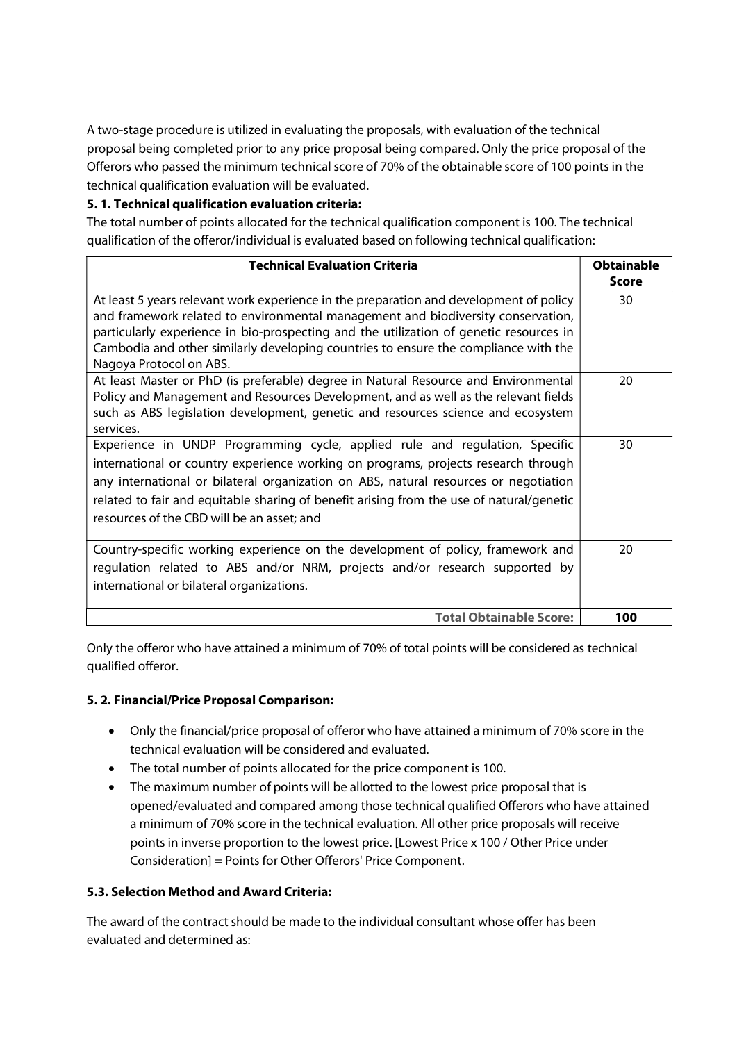A two-stage procedure is utilized in evaluating the proposals, with evaluation of the technical proposal being completed prior to any price proposal being compared. Only the price proposal of the Offerors who passed the minimum technical score of 70% of the obtainable score of 100 points in the technical qualification evaluation will be evaluated.

## 5. 1. Technical qualification evaluation criteria:

The total number of points allocated for the technical qualification component is 100. The technical qualification of the offeror/individual is evaluated based on following technical qualification:

| <b>Technical Evaluation Criteria</b>                                                                                                                                       | <b>Obtainable</b> |
|----------------------------------------------------------------------------------------------------------------------------------------------------------------------------|-------------------|
|                                                                                                                                                                            | <b>Score</b>      |
| At least 5 years relevant work experience in the preparation and development of policy<br>and framework related to environmental management and biodiversity conservation, | 30                |
| particularly experience in bio-prospecting and the utilization of genetic resources in                                                                                     |                   |
| Cambodia and other similarly developing countries to ensure the compliance with the<br>Nagoya Protocol on ABS.                                                             |                   |
| At least Master or PhD (is preferable) degree in Natural Resource and Environmental                                                                                        | 20                |
| Policy and Management and Resources Development, and as well as the relevant fields<br>such as ABS legislation development, genetic and resources science and ecosystem    |                   |
| services.                                                                                                                                                                  |                   |
| Experience in UNDP Programming cycle, applied rule and regulation, Specific                                                                                                | 30                |
| international or country experience working on programs, projects research through                                                                                         |                   |
| any international or bilateral organization on ABS, natural resources or negotiation                                                                                       |                   |
| related to fair and equitable sharing of benefit arising from the use of natural/genetic                                                                                   |                   |
| resources of the CBD will be an asset; and                                                                                                                                 |                   |
| Country-specific working experience on the development of policy, framework and                                                                                            | 20                |
| regulation related to ABS and/or NRM, projects and/or research supported by                                                                                                |                   |
| international or bilateral organizations.                                                                                                                                  |                   |
| <b>Total Obtainable Score:</b>                                                                                                                                             | 100               |

Only the offeror who have attained a minimum of 70% of total points will be considered as technical qualified offeror.

#### 5. 2. Financial/Price Proposal Comparison:

- Only the financial/price proposal of offeror who have attained a minimum of 70% score in the technical evaluation will be considered and evaluated.
- The total number of points allocated for the price component is 100.
- The maximum number of points will be allotted to the lowest price proposal that is opened/evaluated and compared among those technical qualified Offerors who have attained a minimum of 70% score in the technical evaluation. All other price proposals will receive points in inverse proportion to the lowest price. [Lowest Price x 100 / Other Price under Consideration] = Points for Other Offerors' Price Component.

#### 5.3. Selection Method and Award Criteria:

The award of the contract should be made to the individual consultant whose offer has been evaluated and determined as: